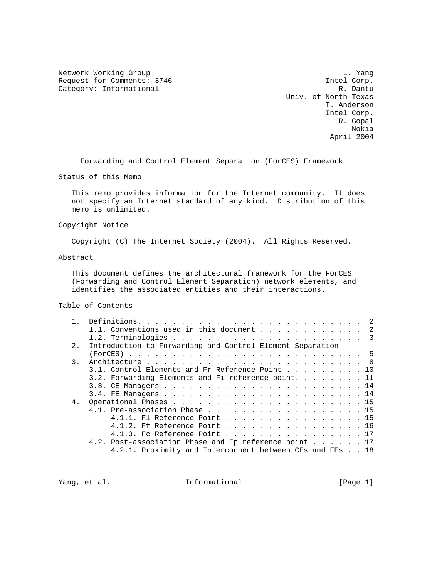Network Working Group and the contract of the contract of the contract of the contract of the contract of the contract of the contract of the contract of the contract of the contract of the contract of the contract of the Request for Comments: 3746 Intel Corp. Category: Informational R. Dantu

 Univ. of North Texas T. Anderson Intel Corp. R. Gopal Nokia April 2004

Forwarding and Control Element Separation (ForCES) Framework

Status of this Memo

 This memo provides information for the Internet community. It does not specify an Internet standard of any kind. Distribution of this memo is unlimited.

### Copyright Notice

Copyright (C) The Internet Society (2004). All Rights Reserved.

### Abstract

 This document defines the architectural framework for the ForCES (Forwarding and Control Element Separation) network elements, and identifies the associated entities and their interactions.

### Table of Contents

| 1.1. Conventions used in this document 2                  |
|-----------------------------------------------------------|
|                                                           |
| Introduction to Forwarding and Control Element Separation |
|                                                           |
|                                                           |
| 3.1. Control Elements and Fr Reference Point 10           |
| 3.2. Forwarding Elements and Fi reference point. 11       |
|                                                           |
|                                                           |
|                                                           |
| 4.1. Pre-association Phase 15                             |
| 4.1.1. Fl Reference Point 15                              |
| 4.1.2. Ff Reference Point 16                              |
| 4.1.3. Fc Reference Point 17                              |
| 4.2. Post-association Phase and Fp reference point 17     |
| 4.2.1. Proximity and Interconnect between CEs and FEs 18  |
|                                                           |

Yang, et al. 10. Informational 1. [Page 1]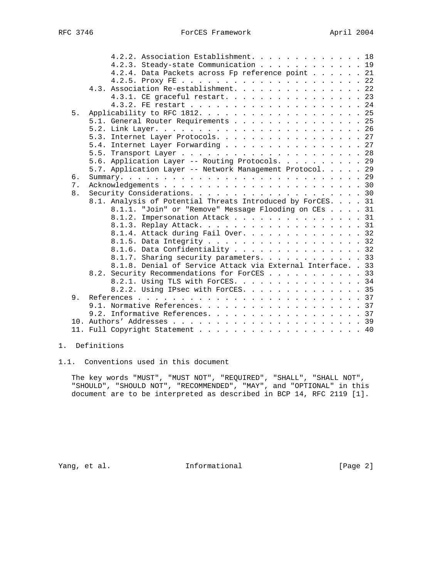| 4.2.3. Steady-state Communication 19<br>4.2.4. Data Packets across Fp reference point 21<br>4.3. Association Re-establishment. 22<br>4.3.1. CE graceful restart. 23<br>5.<br>5.1. General Router Requirements 25<br>5.3. Internet Layer Protocols. 27<br>5.4. Internet Layer Forwarding 27<br>5.6. Application Layer -- Routing Protocols. 29<br>5.7. Application Layer -- Network Management Protocol. 29<br>б.<br>7.<br>8.<br>8.1. Analysis of Potential Threats Introduced by ForCES. 31<br>8.1.1. "Join" or "Remove" Message Flooding on CEs 31<br>8.1.2. Impersonation Attack 31<br>8.1.3. Replay Attack. 31<br>8.1.4. Attack during Fail Over. 32<br>8.1.5. Data Integrity 32<br>8.1.6. Data Confidentiality 32<br>8.1.7. Sharing security parameters. 33<br>8.1.8. Denial of Service Attack via External Interface. . 33<br>8.2. Security Recommendations for ForCES 33 | 4.2.2. Association Establishment. 18 |
|--------------------------------------------------------------------------------------------------------------------------------------------------------------------------------------------------------------------------------------------------------------------------------------------------------------------------------------------------------------------------------------------------------------------------------------------------------------------------------------------------------------------------------------------------------------------------------------------------------------------------------------------------------------------------------------------------------------------------------------------------------------------------------------------------------------------------------------------------------------------------------|--------------------------------------|
|                                                                                                                                                                                                                                                                                                                                                                                                                                                                                                                                                                                                                                                                                                                                                                                                                                                                                |                                      |
|                                                                                                                                                                                                                                                                                                                                                                                                                                                                                                                                                                                                                                                                                                                                                                                                                                                                                |                                      |
|                                                                                                                                                                                                                                                                                                                                                                                                                                                                                                                                                                                                                                                                                                                                                                                                                                                                                |                                      |
|                                                                                                                                                                                                                                                                                                                                                                                                                                                                                                                                                                                                                                                                                                                                                                                                                                                                                |                                      |
|                                                                                                                                                                                                                                                                                                                                                                                                                                                                                                                                                                                                                                                                                                                                                                                                                                                                                |                                      |
|                                                                                                                                                                                                                                                                                                                                                                                                                                                                                                                                                                                                                                                                                                                                                                                                                                                                                |                                      |
|                                                                                                                                                                                                                                                                                                                                                                                                                                                                                                                                                                                                                                                                                                                                                                                                                                                                                |                                      |
|                                                                                                                                                                                                                                                                                                                                                                                                                                                                                                                                                                                                                                                                                                                                                                                                                                                                                |                                      |
|                                                                                                                                                                                                                                                                                                                                                                                                                                                                                                                                                                                                                                                                                                                                                                                                                                                                                |                                      |
|                                                                                                                                                                                                                                                                                                                                                                                                                                                                                                                                                                                                                                                                                                                                                                                                                                                                                |                                      |
|                                                                                                                                                                                                                                                                                                                                                                                                                                                                                                                                                                                                                                                                                                                                                                                                                                                                                |                                      |
|                                                                                                                                                                                                                                                                                                                                                                                                                                                                                                                                                                                                                                                                                                                                                                                                                                                                                |                                      |
|                                                                                                                                                                                                                                                                                                                                                                                                                                                                                                                                                                                                                                                                                                                                                                                                                                                                                |                                      |
|                                                                                                                                                                                                                                                                                                                                                                                                                                                                                                                                                                                                                                                                                                                                                                                                                                                                                |                                      |
|                                                                                                                                                                                                                                                                                                                                                                                                                                                                                                                                                                                                                                                                                                                                                                                                                                                                                |                                      |
|                                                                                                                                                                                                                                                                                                                                                                                                                                                                                                                                                                                                                                                                                                                                                                                                                                                                                |                                      |
|                                                                                                                                                                                                                                                                                                                                                                                                                                                                                                                                                                                                                                                                                                                                                                                                                                                                                |                                      |
|                                                                                                                                                                                                                                                                                                                                                                                                                                                                                                                                                                                                                                                                                                                                                                                                                                                                                |                                      |
|                                                                                                                                                                                                                                                                                                                                                                                                                                                                                                                                                                                                                                                                                                                                                                                                                                                                                |                                      |
|                                                                                                                                                                                                                                                                                                                                                                                                                                                                                                                                                                                                                                                                                                                                                                                                                                                                                |                                      |
|                                                                                                                                                                                                                                                                                                                                                                                                                                                                                                                                                                                                                                                                                                                                                                                                                                                                                |                                      |
|                                                                                                                                                                                                                                                                                                                                                                                                                                                                                                                                                                                                                                                                                                                                                                                                                                                                                |                                      |
|                                                                                                                                                                                                                                                                                                                                                                                                                                                                                                                                                                                                                                                                                                                                                                                                                                                                                |                                      |
|                                                                                                                                                                                                                                                                                                                                                                                                                                                                                                                                                                                                                                                                                                                                                                                                                                                                                |                                      |
|                                                                                                                                                                                                                                                                                                                                                                                                                                                                                                                                                                                                                                                                                                                                                                                                                                                                                |                                      |
|                                                                                                                                                                                                                                                                                                                                                                                                                                                                                                                                                                                                                                                                                                                                                                                                                                                                                |                                      |
|                                                                                                                                                                                                                                                                                                                                                                                                                                                                                                                                                                                                                                                                                                                                                                                                                                                                                |                                      |
| 8.2.1. Using TLS with ForCES. 34                                                                                                                                                                                                                                                                                                                                                                                                                                                                                                                                                                                                                                                                                                                                                                                                                                               |                                      |
| 8.2.2. Using IPsec with ForCES. 35                                                                                                                                                                                                                                                                                                                                                                                                                                                                                                                                                                                                                                                                                                                                                                                                                                             |                                      |
| 9.                                                                                                                                                                                                                                                                                                                                                                                                                                                                                                                                                                                                                                                                                                                                                                                                                                                                             |                                      |
| 9.1. Normative References. 37                                                                                                                                                                                                                                                                                                                                                                                                                                                                                                                                                                                                                                                                                                                                                                                                                                                  |                                      |
| 9.2. Informative References. 37                                                                                                                                                                                                                                                                                                                                                                                                                                                                                                                                                                                                                                                                                                                                                                                                                                                |                                      |
|                                                                                                                                                                                                                                                                                                                                                                                                                                                                                                                                                                                                                                                                                                                                                                                                                                                                                |                                      |
| 11. Full Copyright Statement 40                                                                                                                                                                                                                                                                                                                                                                                                                                                                                                                                                                                                                                                                                                                                                                                                                                                |                                      |

# 1. Definitions

1.1. Conventions used in this document

 The key words "MUST", "MUST NOT", "REQUIRED", "SHALL", "SHALL NOT", "SHOULD", "SHOULD NOT", "RECOMMENDED", "MAY", and "OPTIONAL" in this document are to be interpreted as described in BCP 14, RFC 2119 [1].

Yang, et al. 1nformational 111 [Page 2]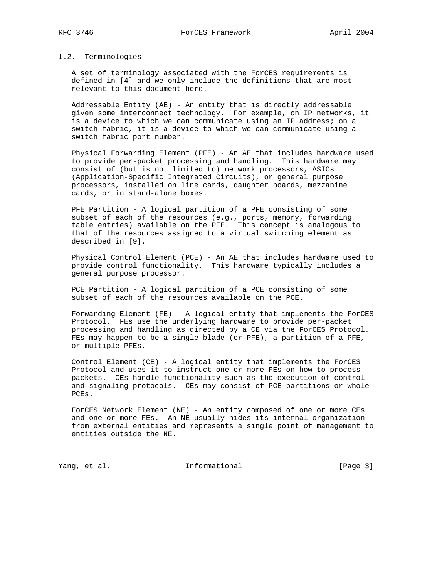1.2. Terminologies

 A set of terminology associated with the ForCES requirements is defined in [4] and we only include the definitions that are most relevant to this document here.

 Addressable Entity (AE) - An entity that is directly addressable given some interconnect technology. For example, on IP networks, it is a device to which we can communicate using an IP address; on a switch fabric, it is a device to which we can communicate using a switch fabric port number.

 Physical Forwarding Element (PFE) - An AE that includes hardware used to provide per-packet processing and handling. This hardware may consist of (but is not limited to) network processors, ASICs (Application-Specific Integrated Circuits), or general purpose processors, installed on line cards, daughter boards, mezzanine cards, or in stand-alone boxes.

 PFE Partition - A logical partition of a PFE consisting of some subset of each of the resources (e.g., ports, memory, forwarding table entries) available on the PFE. This concept is analogous to that of the resources assigned to a virtual switching element as described in [9].

 Physical Control Element (PCE) - An AE that includes hardware used to provide control functionality. This hardware typically includes a general purpose processor.

 PCE Partition - A logical partition of a PCE consisting of some subset of each of the resources available on the PCE.

 Forwarding Element (FE) - A logical entity that implements the ForCES Protocol. FEs use the underlying hardware to provide per-packet processing and handling as directed by a CE via the ForCES Protocol. FEs may happen to be a single blade (or PFE), a partition of a PFE, or multiple PFEs.

 Control Element (CE) - A logical entity that implements the ForCES Protocol and uses it to instruct one or more FEs on how to process packets. CEs handle functionality such as the execution of control and signaling protocols. CEs may consist of PCE partitions or whole PCEs.

 ForCES Network Element (NE) - An entity composed of one or more CEs and one or more FEs. An NE usually hides its internal organization from external entities and represents a single point of management to entities outside the NE.

Yang, et al. 10 Informational 1999 [Page 3]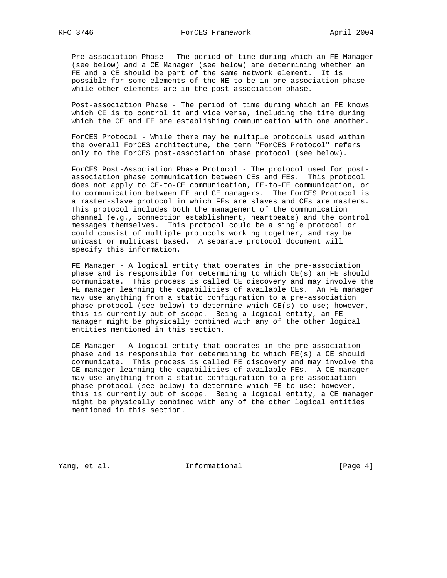Pre-association Phase - The period of time during which an FE Manager (see below) and a CE Manager (see below) are determining whether an FE and a CE should be part of the same network element. It is possible for some elements of the NE to be in pre-association phase while other elements are in the post-association phase.

 Post-association Phase - The period of time during which an FE knows which CE is to control it and vice versa, including the time during which the CE and FE are establishing communication with one another.

 ForCES Protocol - While there may be multiple protocols used within the overall ForCES architecture, the term "ForCES Protocol" refers only to the ForCES post-association phase protocol (see below).

 ForCES Post-Association Phase Protocol - The protocol used for post association phase communication between CEs and FEs. This protocol does not apply to CE-to-CE communication, FE-to-FE communication, or to communication between FE and CE managers. The ForCES Protocol is a master-slave protocol in which FEs are slaves and CEs are masters. This protocol includes both the management of the communication channel (e.g., connection establishment, heartbeats) and the control messages themselves. This protocol could be a single protocol or could consist of multiple protocols working together, and may be unicast or multicast based. A separate protocol document will specify this information.

 FE Manager - A logical entity that operates in the pre-association phase and is responsible for determining to which CE(s) an FE should communicate. This process is called CE discovery and may involve the FE manager learning the capabilities of available CEs. An FE manager may use anything from a static configuration to a pre-association phase protocol (see below) to determine which  $CE(s)$  to use; however, this is currently out of scope. Being a logical entity, an FE manager might be physically combined with any of the other logical entities mentioned in this section.

 CE Manager - A logical entity that operates in the pre-association phase and is responsible for determining to which FE(s) a CE should communicate. This process is called FE discovery and may involve the CE manager learning the capabilities of available FEs. A CE manager may use anything from a static configuration to a pre-association phase protocol (see below) to determine which FE to use; however, this is currently out of scope. Being a logical entity, a CE manager might be physically combined with any of the other logical entities mentioned in this section.

Yang, et al. 10. Informational 1. [Page 4]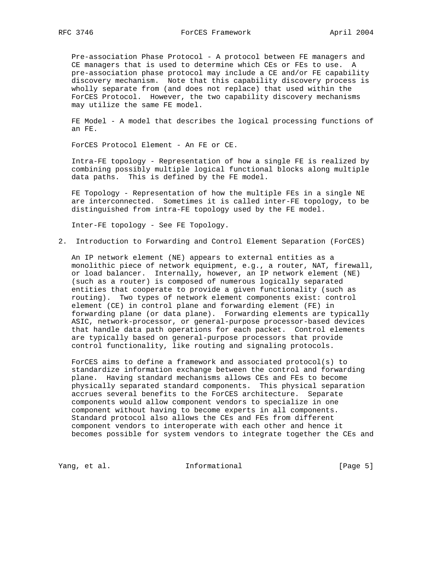Pre-association Phase Protocol - A protocol between FE managers and CE managers that is used to determine which CEs or FEs to use. A pre-association phase protocol may include a CE and/or FE capability discovery mechanism. Note that this capability discovery process is wholly separate from (and does not replace) that used within the ForCES Protocol. However, the two capability discovery mechanisms may utilize the same FE model.

 FE Model - A model that describes the logical processing functions of an FE.

ForCES Protocol Element - An FE or CE.

 Intra-FE topology - Representation of how a single FE is realized by combining possibly multiple logical functional blocks along multiple data paths. This is defined by the FE model.

 FE Topology - Representation of how the multiple FEs in a single NE are interconnected. Sometimes it is called inter-FE topology, to be distinguished from intra-FE topology used by the FE model.

Inter-FE topology - See FE Topology.

2. Introduction to Forwarding and Control Element Separation (ForCES)

 An IP network element (NE) appears to external entities as a monolithic piece of network equipment, e.g., a router, NAT, firewall, or load balancer. Internally, however, an IP network element (NE) (such as a router) is composed of numerous logically separated entities that cooperate to provide a given functionality (such as routing). Two types of network element components exist: control element (CE) in control plane and forwarding element (FE) in forwarding plane (or data plane). Forwarding elements are typically ASIC, network-processor, or general-purpose processor-based devices that handle data path operations for each packet. Control elements are typically based on general-purpose processors that provide control functionality, like routing and signaling protocols.

 ForCES aims to define a framework and associated protocol(s) to standardize information exchange between the control and forwarding plane. Having standard mechanisms allows CEs and FEs to become physically separated standard components. This physical separation accrues several benefits to the ForCES architecture. Separate components would allow component vendors to specialize in one component without having to become experts in all components. Standard protocol also allows the CEs and FEs from different component vendors to interoperate with each other and hence it becomes possible for system vendors to integrate together the CEs and

Yang, et al. 10. Informational 1. [Page 5]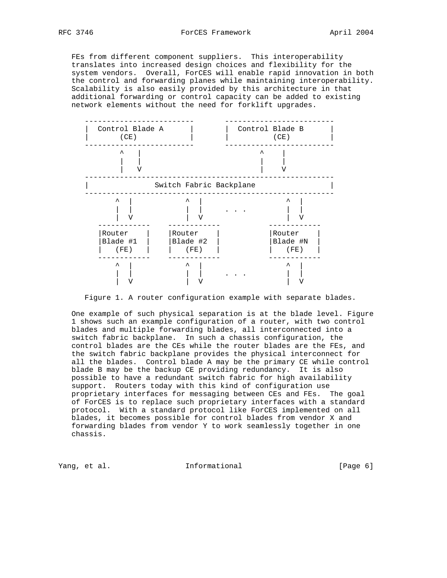FEs from different component suppliers. This interoperability translates into increased design choices and flexibility for the system vendors. Overall, ForCES will enable rapid innovation in both the control and forwarding planes while maintaining interoperability. Scalability is also easily provided by this architecture in that additional forwarding or control capacity can be added to existing network elements without the need for forklift upgrades.



Figure 1. A router configuration example with separate blades.

 One example of such physical separation is at the blade level. Figure 1 shows such an example configuration of a router, with two control blades and multiple forwarding blades, all interconnected into a switch fabric backplane. In such a chassis configuration, the control blades are the CEs while the router blades are the FEs, and the switch fabric backplane provides the physical interconnect for all the blades. Control blade A may be the primary CE while control blade B may be the backup CE providing redundancy. It is also possible to have a redundant switch fabric for high availability support. Routers today with this kind of configuration use proprietary interfaces for messaging between CEs and FEs. The goal of ForCES is to replace such proprietary interfaces with a standard protocol. With a standard protocol like ForCES implemented on all blades, it becomes possible for control blades from vendor X and forwarding blades from vendor Y to work seamlessly together in one chassis.

Yang, et al. 100 and 100 and 100 and 100 and 100 and 100 and 100 and 100 and 100 and 100 and 100 and 100 and 1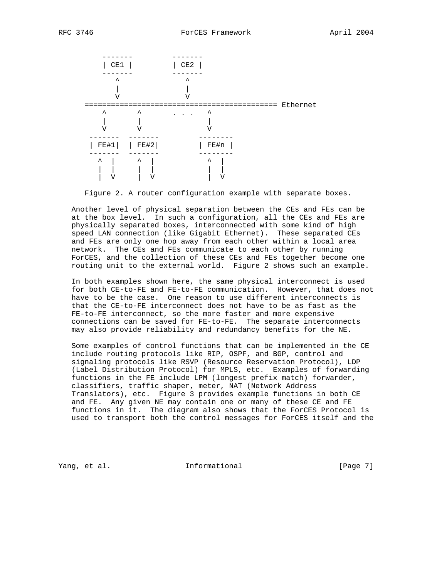

Figure 2. A router configuration example with separate boxes.

 Another level of physical separation between the CEs and FEs can be at the box level. In such a configuration, all the CEs and FEs are physically separated boxes, interconnected with some kind of high speed LAN connection (like Gigabit Ethernet). These separated CEs and FEs are only one hop away from each other within a local area network. The CEs and FEs communicate to each other by running ForCES, and the collection of these CEs and FEs together become one routing unit to the external world. Figure 2 shows such an example.

 In both examples shown here, the same physical interconnect is used for both CE-to-FE and FE-to-FE communication. However, that does not have to be the case. One reason to use different interconnects is that the CE-to-FE interconnect does not have to be as fast as the FE-to-FE interconnect, so the more faster and more expensive connections can be saved for FE-to-FE. The separate interconnects may also provide reliability and redundancy benefits for the NE.

 Some examples of control functions that can be implemented in the CE include routing protocols like RIP, OSPF, and BGP, control and signaling protocols like RSVP (Resource Reservation Protocol), LDP (Label Distribution Protocol) for MPLS, etc. Examples of forwarding functions in the FE include LPM (longest prefix match) forwarder, classifiers, traffic shaper, meter, NAT (Network Address Translators), etc. Figure 3 provides example functions in both CE and FE. Any given NE may contain one or many of these CE and FE functions in it. The diagram also shows that the ForCES Protocol is used to transport both the control messages for ForCES itself and the

Yang, et al. 100 and 100 and 100 and 100 and 100 and 100 and 100 and 100 and 100 and 100 and 100 and 100 and 1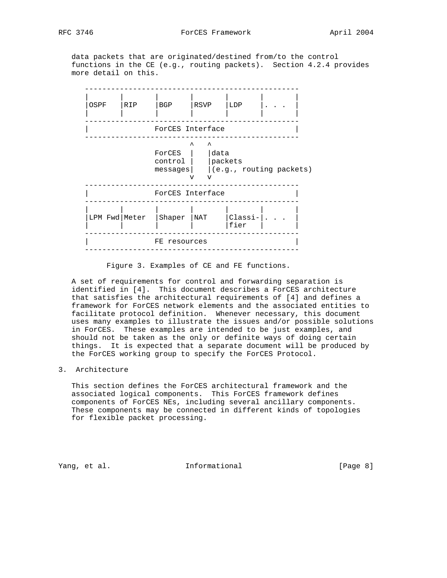data packets that are originated/destined from/to the control functions in the CE (e.g., routing packets). Section 4.2.4 provides more detail on this.



Figure 3. Examples of CE and FE functions.

 A set of requirements for control and forwarding separation is identified in [4]. This document describes a ForCES architecture that satisfies the architectural requirements of [4] and defines a framework for ForCES network elements and the associated entities to facilitate protocol definition. Whenever necessary, this document uses many examples to illustrate the issues and/or possible solutions in ForCES. These examples are intended to be just examples, and should not be taken as the only or definite ways of doing certain things. It is expected that a separate document will be produced by the ForCES working group to specify the ForCES Protocol.

### 3. Architecture

 This section defines the ForCES architectural framework and the associated logical components. This ForCES framework defines components of ForCES NEs, including several ancillary components. These components may be connected in different kinds of topologies for flexible packet processing.

Yang, et al. **Informational** [Page 8]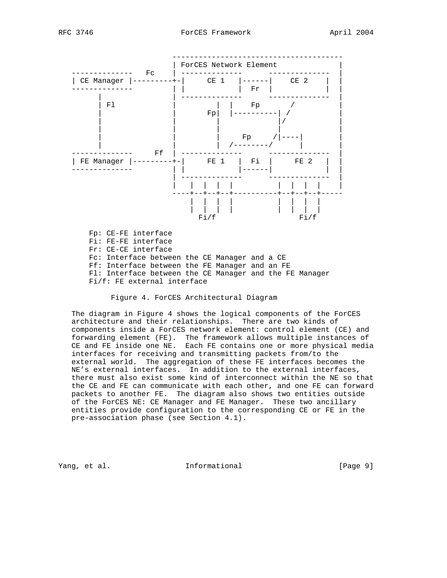

Fi/f: FE external interface

## Figure 4. ForCES Architectural Diagram

 The diagram in Figure 4 shows the logical components of the ForCES architecture and their relationships. There are two kinds of components inside a ForCES network element: control element (CE) and forwarding element (FE). The framework allows multiple instances of CE and FE inside one NE. Each FE contains one or more physical media interfaces for receiving and transmitting packets from/to the external world. The aggregation of these FE interfaces becomes the NE's external interfaces. In addition to the external interfaces, there must also exist some kind of interconnect within the NE so that the CE and FE can communicate with each other, and one FE can forward packets to another FE. The diagram also shows two entities outside of the ForCES NE: CE Manager and FE Manager. These two ancillary entities provide configuration to the corresponding CE or FE in the pre-association phase (see Section 4.1).

Yang, et al. **Informational** [Page 9]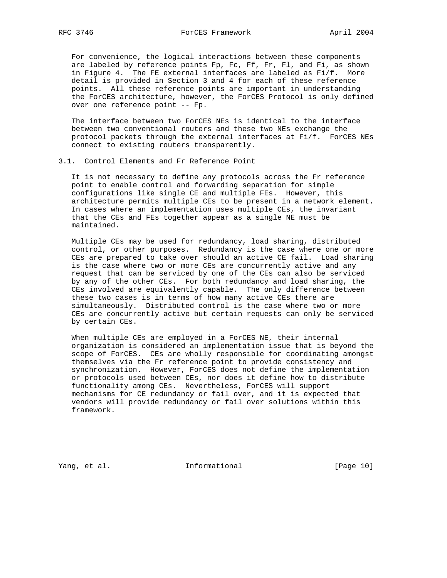For convenience, the logical interactions between these components are labeled by reference points Fp, Fc, Ff, Fr, Fl, and Fi, as shown in Figure 4. The FE external interfaces are labeled as Fi/f. More detail is provided in Section 3 and 4 for each of these reference points. All these reference points are important in understanding the ForCES architecture, however, the ForCES Protocol is only defined over one reference point -- Fp.

 The interface between two ForCES NEs is identical to the interface between two conventional routers and these two NEs exchange the protocol packets through the external interfaces at Fi/f. ForCES NEs connect to existing routers transparently.

### 3.1. Control Elements and Fr Reference Point

 It is not necessary to define any protocols across the Fr reference point to enable control and forwarding separation for simple configurations like single CE and multiple FEs. However, this architecture permits multiple CEs to be present in a network element. In cases where an implementation uses multiple CEs, the invariant that the CEs and FEs together appear as a single NE must be maintained.

 Multiple CEs may be used for redundancy, load sharing, distributed control, or other purposes. Redundancy is the case where one or more CEs are prepared to take over should an active CE fail. Load sharing is the case where two or more CEs are concurrently active and any request that can be serviced by one of the CEs can also be serviced by any of the other CEs. For both redundancy and load sharing, the CEs involved are equivalently capable. The only difference between these two cases is in terms of how many active CEs there are simultaneously. Distributed control is the case where two or more CEs are concurrently active but certain requests can only be serviced by certain CEs.

 When multiple CEs are employed in a ForCES NE, their internal organization is considered an implementation issue that is beyond the scope of ForCES. CEs are wholly responsible for coordinating amongst themselves via the Fr reference point to provide consistency and synchronization. However, ForCES does not define the implementation or protocols used between CEs, nor does it define how to distribute functionality among CEs. Nevertheless, ForCES will support mechanisms for CE redundancy or fail over, and it is expected that vendors will provide redundancy or fail over solutions within this framework.

Yang, et al. 10 Informational 10 [Page 10]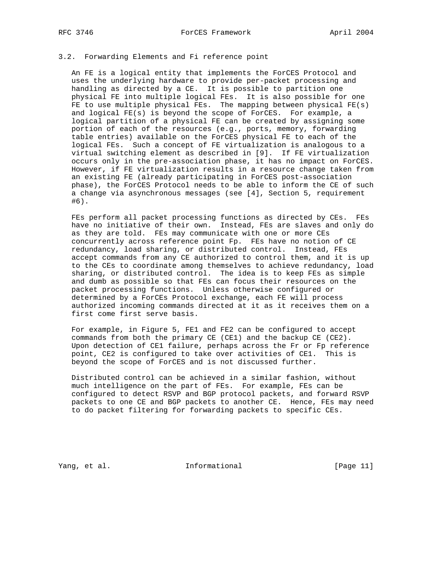### 3.2. Forwarding Elements and Fi reference point

 An FE is a logical entity that implements the ForCES Protocol and uses the underlying hardware to provide per-packet processing and handling as directed by a CE. It is possible to partition one physical FE into multiple logical FEs. It is also possible for one FE to use multiple physical FEs. The mapping between physical FE(s) and logical FE(s) is beyond the scope of ForCES. For example, a logical partition of a physical FE can be created by assigning some portion of each of the resources (e.g., ports, memory, forwarding table entries) available on the ForCES physical FE to each of the logical FEs. Such a concept of FE virtualization is analogous to a virtual switching element as described in [9]. If FE virtualization occurs only in the pre-association phase, it has no impact on ForCES. However, if FE virtualization results in a resource change taken from an existing FE (already participating in ForCES post-association phase), the ForCES Protocol needs to be able to inform the CE of such a change via asynchronous messages (see [4], Section 5, requirement #6).

FEs perform all packet processing functions as directed by CEs. FEs have no initiative of their own. Instead, FEs are slaves and only do as they are told. FEs may communicate with one or more CEs concurrently across reference point Fp. FEs have no notion of CE redundancy, load sharing, or distributed control. Instead, FEs accept commands from any CE authorized to control them, and it is up to the CEs to coordinate among themselves to achieve redundancy, load sharing, or distributed control. The idea is to keep FEs as simple and dumb as possible so that FEs can focus their resources on the packet processing functions. Unless otherwise configured or determined by a ForCEs Protocol exchange, each FE will process authorized incoming commands directed at it as it receives them on a first come first serve basis.

 For example, in Figure 5, FE1 and FE2 can be configured to accept commands from both the primary CE (CE1) and the backup CE (CE2). Upon detection of CE1 failure, perhaps across the Fr or Fp reference point, CE2 is configured to take over activities of CE1. This is beyond the scope of ForCES and is not discussed further.

 Distributed control can be achieved in a similar fashion, without much intelligence on the part of FEs. For example, FEs can be configured to detect RSVP and BGP protocol packets, and forward RSVP packets to one CE and BGP packets to another CE. Hence, FEs may need to do packet filtering for forwarding packets to specific CEs.

Yang, et al. 10. Informational 1. [Page 11]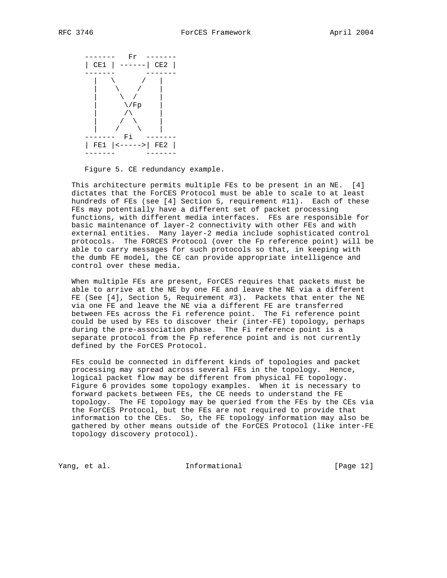

Figure 5. CE redundancy example.

 This architecture permits multiple FEs to be present in an NE. [4] dictates that the ForCES Protocol must be able to scale to at least hundreds of FEs (see [4] Section 5, requirement #11). Each of these FEs may potentially have a different set of packet processing functions, with different media interfaces. FEs are responsible for basic maintenance of layer-2 connectivity with other FEs and with external entities. Many layer-2 media include sophisticated control protocols. The FORCES Protocol (over the Fp reference point) will be able to carry messages for such protocols so that, in keeping with the dumb FE model, the CE can provide appropriate intelligence and control over these media.

 When multiple FEs are present, ForCES requires that packets must be able to arrive at the NE by one FE and leave the NE via a different FE (See [4], Section 5, Requirement #3). Packets that enter the NE via one FE and leave the NE via a different FE are transferred between FEs across the Fi reference point. The Fi reference point could be used by FEs to discover their (inter-FE) topology, perhaps during the pre-association phase. The Fi reference point is a separate protocol from the Fp reference point and is not currently defined by the ForCES Protocol.

 FEs could be connected in different kinds of topologies and packet processing may spread across several FEs in the topology. Hence, logical packet flow may be different from physical FE topology. Figure 6 provides some topology examples. When it is necessary to forward packets between FEs, the CE needs to understand the FE topology. The FE topology may be queried from the FEs by the CEs via the ForCES Protocol, but the FEs are not required to provide that information to the CEs. So, the FE topology information may also be gathered by other means outside of the ForCES Protocol (like inter-FE topology discovery protocol).

Yang, et al. **Informational** [Page 12]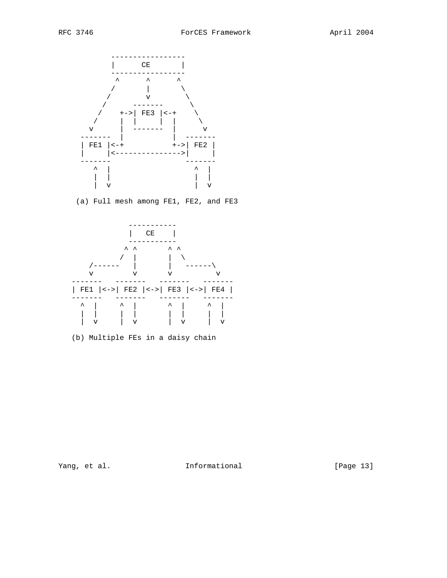

(a) Full mesh among FE1, FE2, and FE3



(b) Multiple FEs in a daisy chain

Yang, et al. 10. Informational 1. [Page 13]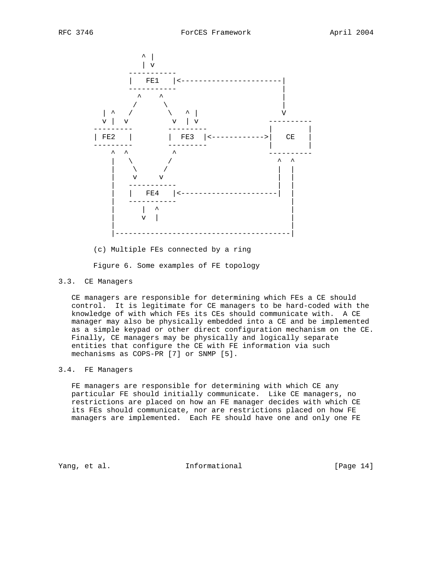

(c) Multiple FEs connected by a ring

Figure 6. Some examples of FE topology

### 3.3. CE Managers

 CE managers are responsible for determining which FEs a CE should control. It is legitimate for CE managers to be hard-coded with the knowledge of with which FEs its CEs should communicate with. A CE manager may also be physically embedded into a CE and be implemented as a simple keypad or other direct configuration mechanism on the CE. Finally, CE managers may be physically and logically separate entities that configure the CE with FE information via such mechanisms as COPS-PR [7] or SNMP [5].

### 3.4. FE Managers

 FE managers are responsible for determining with which CE any particular FE should initially communicate. Like CE managers, no restrictions are placed on how an FE manager decides with which CE its FEs should communicate, nor are restrictions placed on how FE managers are implemented. Each FE should have one and only one FE

Yang, et al. **Informational** [Page 14]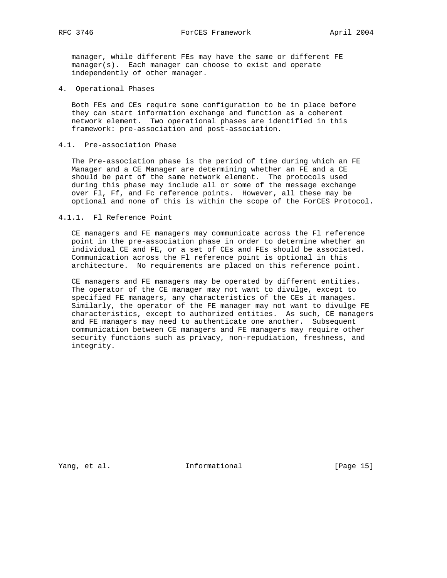manager, while different FEs may have the same or different FE manager(s). Each manager can choose to exist and operate independently of other manager.

4. Operational Phases

 Both FEs and CEs require some configuration to be in place before they can start information exchange and function as a coherent network element. Two operational phases are identified in this framework: pre-association and post-association.

### 4.1. Pre-association Phase

 The Pre-association phase is the period of time during which an FE Manager and a CE Manager are determining whether an FE and a CE should be part of the same network element. The protocols used during this phase may include all or some of the message exchange over Fl, Ff, and Fc reference points. However, all these may be optional and none of this is within the scope of the ForCES Protocol.

### 4.1.1. Fl Reference Point

 CE managers and FE managers may communicate across the Fl reference point in the pre-association phase in order to determine whether an individual CE and FE, or a set of CEs and FEs should be associated. Communication across the Fl reference point is optional in this architecture. No requirements are placed on this reference point.

 CE managers and FE managers may be operated by different entities. The operator of the CE manager may not want to divulge, except to specified FE managers, any characteristics of the CEs it manages. Similarly, the operator of the FE manager may not want to divulge FE characteristics, except to authorized entities. As such, CE managers and FE managers may need to authenticate one another. Subsequent communication between CE managers and FE managers may require other security functions such as privacy, non-repudiation, freshness, and integrity.

Yang, et al. 10. Informational 1. [Page 15]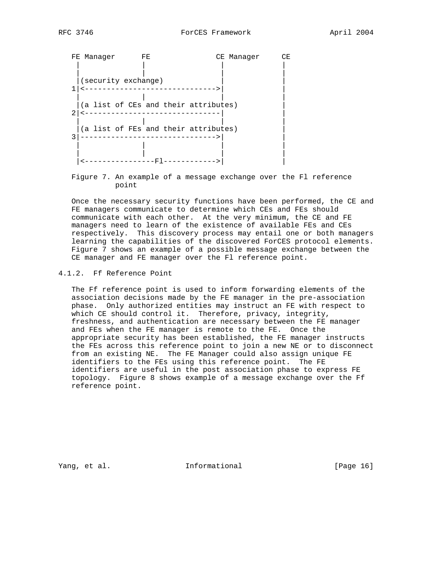

 Figure 7. An example of a message exchange over the Fl reference point

 Once the necessary security functions have been performed, the CE and FE managers communicate to determine which CEs and FEs should communicate with each other. At the very minimum, the CE and FE managers need to learn of the existence of available FEs and CEs respectively. This discovery process may entail one or both managers learning the capabilities of the discovered ForCES protocol elements. Figure 7 shows an example of a possible message exchange between the CE manager and FE manager over the Fl reference point.

### 4.1.2. Ff Reference Point

 The Ff reference point is used to inform forwarding elements of the association decisions made by the FE manager in the pre-association phase. Only authorized entities may instruct an FE with respect to which CE should control it. Therefore, privacy, integrity, freshness, and authentication are necessary between the FE manager and FEs when the FE manager is remote to the FE. Once the appropriate security has been established, the FE manager instructs the FEs across this reference point to join a new NE or to disconnect from an existing NE. The FE Manager could also assign unique FE identifiers to the FEs using this reference point. The FE identifiers are useful in the post association phase to express FE topology. Figure 8 shows example of a message exchange over the Ff reference point.

Yang, et al. **Informational** [Page 16]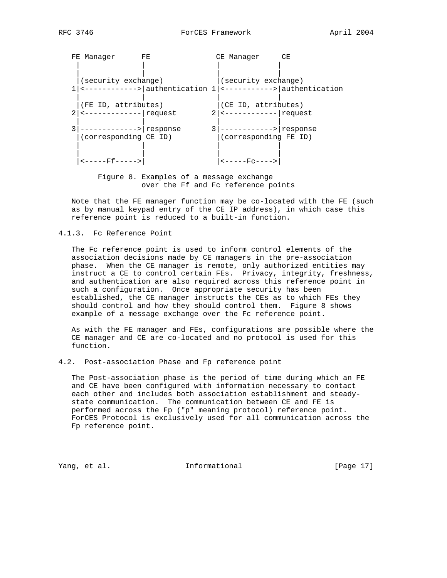| FE Manager                           | FE.                                                               |                | CE Manager                  | CE |
|--------------------------------------|-------------------------------------------------------------------|----------------|-----------------------------|----|
|                                      |                                                                   |                |                             |    |
| (security exchange)                  |                                                                   |                | (security exchange)         |    |
|                                      | <----------->   authentication 1   <----------->   authentication |                |                             |    |
| (FE ID, attributes)                  |                                                                   |                | (CE ID, attributes)         |    |
| <-------------   request             |                                                                   | 2 <sub>1</sub> |                             |    |
| -----------> response                |                                                                   |                | ------------> response      |    |
| (corresponding CE ID)                |                                                                   |                | (corresponding FE ID)       |    |
|                                      |                                                                   |                |                             |    |
| $\leftarrow$ - - - - - Ff - - - - -> |                                                                   |                | <u> &lt;-----Fc----&gt;</u> |    |

 Figure 8. Examples of a message exchange over the Ff and Fc reference points

 Note that the FE manager function may be co-located with the FE (such as by manual keypad entry of the CE IP address), in which case this reference point is reduced to a built-in function.

4.1.3. Fc Reference Point

 The Fc reference point is used to inform control elements of the association decisions made by CE managers in the pre-association phase. When the CE manager is remote, only authorized entities may instruct a CE to control certain FEs. Privacy, integrity, freshness, and authentication are also required across this reference point in such a configuration. Once appropriate security has been established, the CE manager instructs the CEs as to which FEs they should control and how they should control them. Figure 8 shows example of a message exchange over the Fc reference point.

 As with the FE manager and FEs, configurations are possible where the CE manager and CE are co-located and no protocol is used for this function.

4.2. Post-association Phase and Fp reference point

 The Post-association phase is the period of time during which an FE and CE have been configured with information necessary to contact each other and includes both association establishment and steady state communication. The communication between CE and FE is performed across the Fp ("p" meaning protocol) reference point. ForCES Protocol is exclusively used for all communication across the Fp reference point.

Yang, et al. 10 Informational 1999 [Page 17]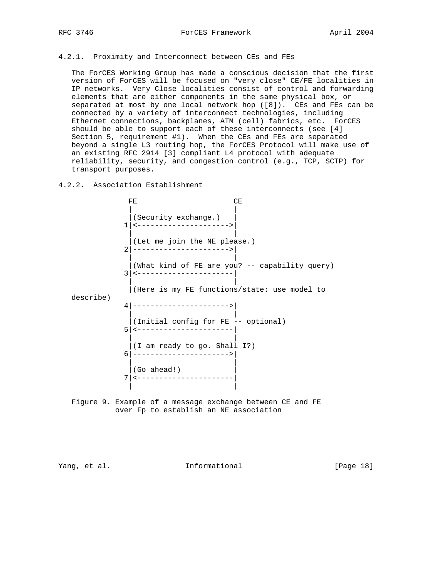### 4.2.1. Proximity and Interconnect between CEs and FEs

 The ForCES Working Group has made a conscious decision that the first version of ForCES will be focused on "very close" CE/FE localities in IP networks. Very Close localities consist of control and forwarding elements that are either components in the same physical box, or separated at most by one local network hop ([8]). CEs and FEs can be connected by a variety of interconnect technologies, including Ethernet connections, backplanes, ATM (cell) fabrics, etc. ForCES should be able to support each of these interconnects (see [4] Section 5, requirement #1). When the CEs and FEs are separated beyond a single L3 routing hop, the ForCES Protocol will make use of an existing RFC 2914 [3] compliant L4 protocol with adequate reliability, security, and congestion control (e.g., TCP, SCTP) for transport purposes.

# 4.2.2. Association Establishment

FE CE | | |(Security exchange.) | 1|<--------------------->| | | |(Let me join the NE please.) 2|---------------------->| | | |(What kind of FE are you? -- capability query) 3|<----------------------| | | |(Here is my FE functions/state: use model to describe) 4|---------------------->| | | |(Initial config for FE -- optional) 5|<----------------------| | | |(I am ready to go. Shall I?) 6|---------------------->| | |  $|$  (Go ahead!) 7|<----------------------| | | Figure 9. Example of a message exchange between CE and FE

over Fp to establish an NE association

Yang, et al. 10. Informational 1. [Page 18]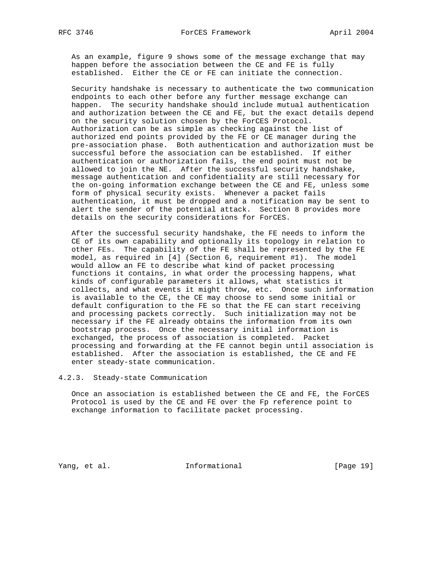As an example, figure 9 shows some of the message exchange that may happen before the association between the CE and FE is fully established. Either the CE or FE can initiate the connection.

 Security handshake is necessary to authenticate the two communication endpoints to each other before any further message exchange can happen. The security handshake should include mutual authentication and authorization between the CE and FE, but the exact details depend on the security solution chosen by the ForCES Protocol. Authorization can be as simple as checking against the list of authorized end points provided by the FE or CE manager during the pre-association phase. Both authentication and authorization must be successful before the association can be established. If either authentication or authorization fails, the end point must not be allowed to join the NE. After the successful security handshake, message authentication and confidentiality are still necessary for the on-going information exchange between the CE and FE, unless some form of physical security exists. Whenever a packet fails authentication, it must be dropped and a notification may be sent to alert the sender of the potential attack. Section 8 provides more details on the security considerations for ForCES.

 After the successful security handshake, the FE needs to inform the CE of its own capability and optionally its topology in relation to other FEs. The capability of the FE shall be represented by the FE model, as required in [4] (Section 6, requirement #1). The model would allow an FE to describe what kind of packet processing functions it contains, in what order the processing happens, what kinds of configurable parameters it allows, what statistics it collects, and what events it might throw, etc. Once such information is available to the CE, the CE may choose to send some initial or default configuration to the FE so that the FE can start receiving and processing packets correctly. Such initialization may not be necessary if the FE already obtains the information from its own bootstrap process. Once the necessary initial information is exchanged, the process of association is completed. Packet processing and forwarding at the FE cannot begin until association is established. After the association is established, the CE and FE enter steady-state communication.

4.2.3. Steady-state Communication

 Once an association is established between the CE and FE, the ForCES Protocol is used by the CE and FE over the Fp reference point to exchange information to facilitate packet processing.

Yang, et al. 10 1nformational 19 [Page 19]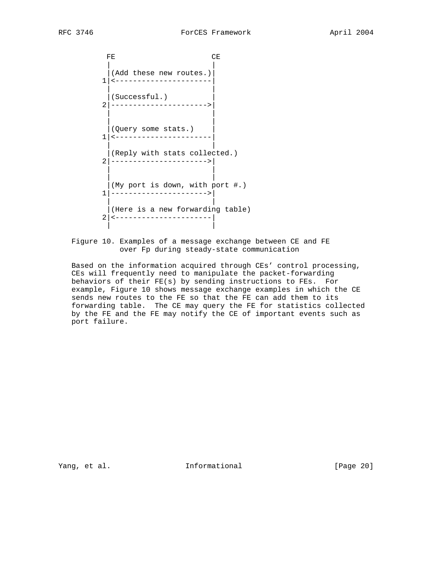FE CE | | |(Add these new routes.)| 1|<----------------------| | | |(Successful.) | 2|---------------------->| | | | | |(Query some stats.) | 1|<----------------------| | | |(Reply with stats collected.) 2|---------------------->| | | | | |(My port is down, with port #.) 1|---------------------->| | | |(Here is a new forwarding table) 2|<----------------------| | |

 Figure 10. Examples of a message exchange between CE and FE over Fp during steady-state communication

 Based on the information acquired through CEs' control processing, CEs will frequently need to manipulate the packet-forwarding behaviors of their FE(s) by sending instructions to FEs. For example, Figure 10 shows message exchange examples in which the CE sends new routes to the FE so that the FE can add them to its forwarding table. The CE may query the FE for statistics collected by the FE and the FE may notify the CE of important events such as port failure.

Yang, et al. **Informational** [Page 20]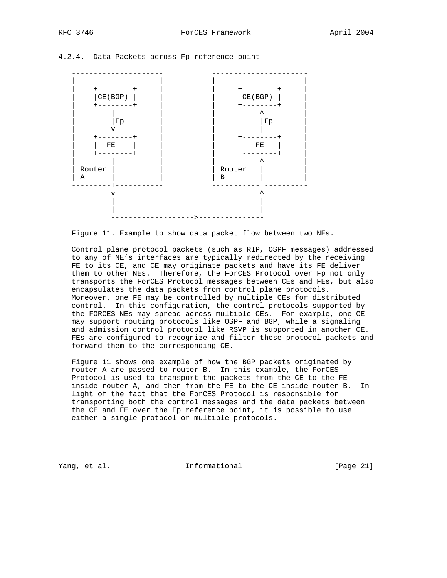



Figure 11. Example to show data packet flow between two NEs.

 Control plane protocol packets (such as RIP, OSPF messages) addressed to any of NE's interfaces are typically redirected by the receiving FE to its CE, and CE may originate packets and have its FE deliver them to other NEs. Therefore, the ForCES Protocol over Fp not only transports the ForCES Protocol messages between CEs and FEs, but also encapsulates the data packets from control plane protocols. Moreover, one FE may be controlled by multiple CEs for distributed control. In this configuration, the control protocols supported by the FORCES NEs may spread across multiple CEs. For example, one CE may support routing protocols like OSPF and BGP, while a signaling and admission control protocol like RSVP is supported in another CE. FEs are configured to recognize and filter these protocol packets and forward them to the corresponding CE.

 Figure 11 shows one example of how the BGP packets originated by router A are passed to router B. In this example, the ForCES Protocol is used to transport the packets from the CE to the FE inside router A, and then from the FE to the CE inside router B. In light of the fact that the ForCES Protocol is responsible for transporting both the control messages and the data packets between the CE and FE over the Fp reference point, it is possible to use either a single protocol or multiple protocols.

Yang, et al. 10 1nformational 11 [Page 21]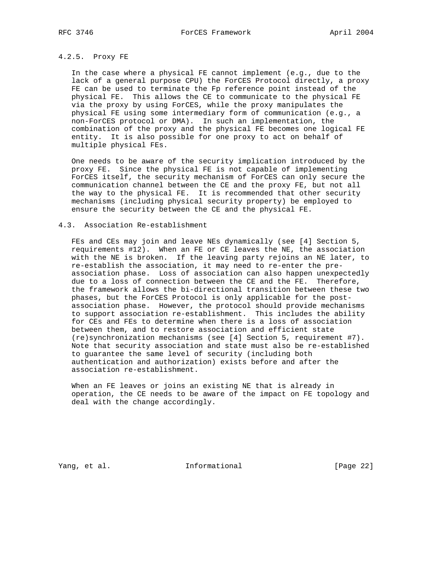## 4.2.5. Proxy FE

 In the case where a physical FE cannot implement (e.g., due to the lack of a general purpose CPU) the ForCES Protocol directly, a proxy FE can be used to terminate the Fp reference point instead of the physical FE. This allows the CE to communicate to the physical FE via the proxy by using ForCES, while the proxy manipulates the physical FE using some intermediary form of communication (e.g., a non-ForCES protocol or DMA). In such an implementation, the combination of the proxy and the physical FE becomes one logical FE entity. It is also possible for one proxy to act on behalf of multiple physical FEs.

 One needs to be aware of the security implication introduced by the proxy FE. Since the physical FE is not capable of implementing ForCES itself, the security mechanism of ForCES can only secure the communication channel between the CE and the proxy FE, but not all the way to the physical FE. It is recommended that other security mechanisms (including physical security property) be employed to ensure the security between the CE and the physical FE.

### 4.3. Association Re-establishment

 FEs and CEs may join and leave NEs dynamically (see [4] Section 5, requirements #12). When an FE or CE leaves the NE, the association with the NE is broken. If the leaving party rejoins an NE later, to re-establish the association, it may need to re-enter the pre association phase. Loss of association can also happen unexpectedly due to a loss of connection between the CE and the FE. Therefore, the framework allows the bi-directional transition between these two phases, but the ForCES Protocol is only applicable for the post association phase. However, the protocol should provide mechanisms to support association re-establishment. This includes the ability for CEs and FEs to determine when there is a loss of association between them, and to restore association and efficient state (re)synchronization mechanisms (see [4] Section 5, requirement #7). Note that security association and state must also be re-established to guarantee the same level of security (including both authentication and authorization) exists before and after the association re-establishment.

 When an FE leaves or joins an existing NE that is already in operation, the CE needs to be aware of the impact on FE topology and deal with the change accordingly.

Yang, et al. 100 Informational 100 [Page 22]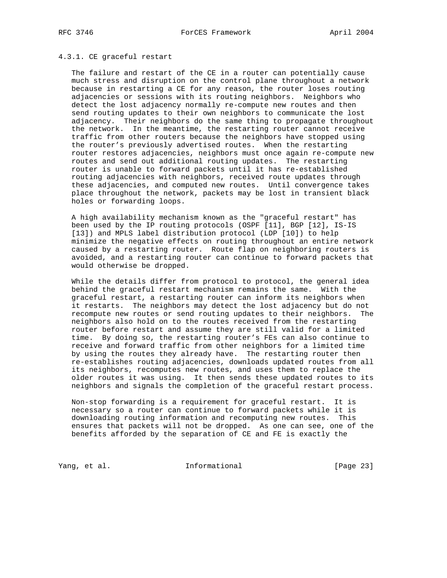### 4.3.1. CE graceful restart

 The failure and restart of the CE in a router can potentially cause much stress and disruption on the control plane throughout a network because in restarting a CE for any reason, the router loses routing adjacencies or sessions with its routing neighbors. Neighbors who detect the lost adjacency normally re-compute new routes and then send routing updates to their own neighbors to communicate the lost adjacency. Their neighbors do the same thing to propagate throughout the network. In the meantime, the restarting router cannot receive traffic from other routers because the neighbors have stopped using the router's previously advertised routes. When the restarting router restores adjacencies, neighbors must once again re-compute new routes and send out additional routing updates. The restarting router is unable to forward packets until it has re-established routing adjacencies with neighbors, received route updates through these adjacencies, and computed new routes. Until convergence takes place throughout the network, packets may be lost in transient black holes or forwarding loops.

 A high availability mechanism known as the "graceful restart" has been used by the IP routing protocols (OSPF [11], BGP [12], IS-IS [13]) and MPLS label distribution protocol (LDP [10]) to help minimize the negative effects on routing throughout an entire network caused by a restarting router. Route flap on neighboring routers is avoided, and a restarting router can continue to forward packets that would otherwise be dropped.

 While the details differ from protocol to protocol, the general idea behind the graceful restart mechanism remains the same. With the graceful restart, a restarting router can inform its neighbors when it restarts. The neighbors may detect the lost adjacency but do not recompute new routes or send routing updates to their neighbors. The neighbors also hold on to the routes received from the restarting router before restart and assume they are still valid for a limited time. By doing so, the restarting router's FEs can also continue to receive and forward traffic from other neighbors for a limited time by using the routes they already have. The restarting router then re-establishes routing adjacencies, downloads updated routes from all its neighbors, recomputes new routes, and uses them to replace the older routes it was using. It then sends these updated routes to its neighbors and signals the completion of the graceful restart process.

 Non-stop forwarding is a requirement for graceful restart. It is necessary so a router can continue to forward packets while it is downloading routing information and recomputing new routes. This ensures that packets will not be dropped. As one can see, one of the benefits afforded by the separation of CE and FE is exactly the

Yang, et al. 10 Informational 11 [Page 23]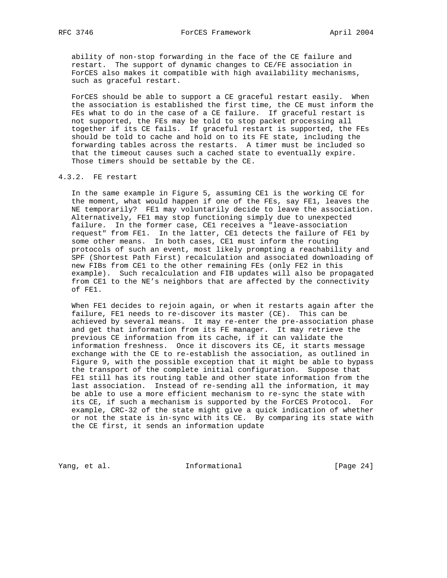ability of non-stop forwarding in the face of the CE failure and restart. The support of dynamic changes to CE/FE association in ForCES also makes it compatible with high availability mechanisms, such as graceful restart.

 ForCES should be able to support a CE graceful restart easily. When the association is established the first time, the CE must inform the FEs what to do in the case of a CE failure. If graceful restart is not supported, the FEs may be told to stop packet processing all together if its CE fails. If graceful restart is supported, the FEs should be told to cache and hold on to its FE state, including the forwarding tables across the restarts. A timer must be included so that the timeout causes such a cached state to eventually expire. Those timers should be settable by the CE.

### 4.3.2. FE restart

 In the same example in Figure 5, assuming CE1 is the working CE for the moment, what would happen if one of the FEs, say FE1, leaves the NE temporarily? FE1 may voluntarily decide to leave the association. Alternatively, FE1 may stop functioning simply due to unexpected failure. In the former case, CE1 receives a "leave-association request" from FE1. In the latter, CE1 detects the failure of FE1 by some other means. In both cases, CE1 must inform the routing protocols of such an event, most likely prompting a reachability and SPF (Shortest Path First) recalculation and associated downloading of new FIBs from CE1 to the other remaining FEs (only FE2 in this example). Such recalculation and FIB updates will also be propagated from CE1 to the NE's neighbors that are affected by the connectivity of FE1.

 When FE1 decides to rejoin again, or when it restarts again after the failure, FE1 needs to re-discover its master (CE). This can be achieved by several means. It may re-enter the pre-association phase and get that information from its FE manager. It may retrieve the previous CE information from its cache, if it can validate the information freshness. Once it discovers its CE, it starts message exchange with the CE to re-establish the association, as outlined in Figure 9, with the possible exception that it might be able to bypass the transport of the complete initial configuration. Suppose that FE1 still has its routing table and other state information from the last association. Instead of re-sending all the information, it may be able to use a more efficient mechanism to re-sync the state with its CE, if such a mechanism is supported by the ForCES Protocol. For example, CRC-32 of the state might give a quick indication of whether or not the state is in-sync with its CE. By comparing its state with the CE first, it sends an information update

Yang, et al. 100 Informational 100 [Page 24]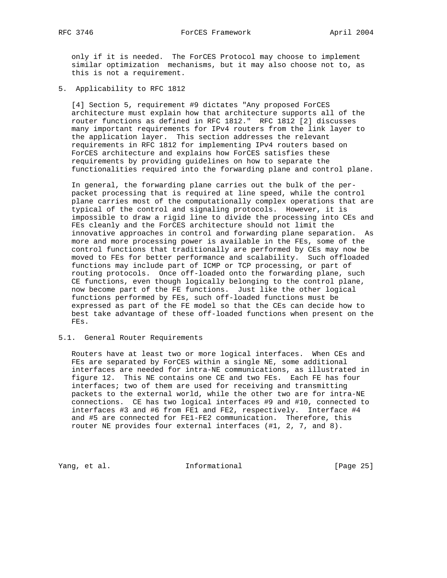only if it is needed. The ForCES Protocol may choose to implement similar optimization mechanisms, but it may also choose not to, as this is not a requirement.

5. Applicability to RFC 1812

 [4] Section 5, requirement #9 dictates "Any proposed ForCES architecture must explain how that architecture supports all of the router functions as defined in RFC 1812." RFC 1812 [2] discusses many important requirements for IPv4 routers from the link layer to the application layer. This section addresses the relevant requirements in RFC 1812 for implementing IPv4 routers based on ForCES architecture and explains how ForCES satisfies these requirements by providing guidelines on how to separate the functionalities required into the forwarding plane and control plane.

 In general, the forwarding plane carries out the bulk of the per packet processing that is required at line speed, while the control plane carries most of the computationally complex operations that are typical of the control and signaling protocols. However, it is impossible to draw a rigid line to divide the processing into CEs and FEs cleanly and the ForCES architecture should not limit the innovative approaches in control and forwarding plane separation. As more and more processing power is available in the FEs, some of the control functions that traditionally are performed by CEs may now be moved to FEs for better performance and scalability. Such offloaded functions may include part of ICMP or TCP processing, or part of routing protocols. Once off-loaded onto the forwarding plane, such CE functions, even though logically belonging to the control plane, now become part of the FE functions. Just like the other logical functions performed by FEs, such off-loaded functions must be expressed as part of the FE model so that the CEs can decide how to best take advantage of these off-loaded functions when present on the FEs.

### 5.1. General Router Requirements

 Routers have at least two or more logical interfaces. When CEs and FEs are separated by ForCES within a single NE, some additional interfaces are needed for intra-NE communications, as illustrated in figure 12. This NE contains one CE and two FEs. Each FE has four interfaces; two of them are used for receiving and transmitting packets to the external world, while the other two are for intra-NE connections. CE has two logical interfaces #9 and #10, connected to interfaces #3 and #6 from FE1 and FE2, respectively. Interface #4 and #5 are connected for FE1-FE2 communication. Therefore, this router NE provides four external interfaces (#1, 2, 7, and 8).

Yang, et al. 100 Informational 100 [Page 25]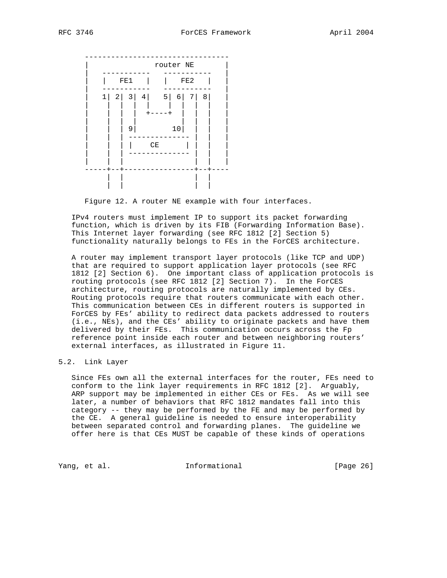

Figure 12. A router NE example with four interfaces.

 IPv4 routers must implement IP to support its packet forwarding function, which is driven by its FIB (Forwarding Information Base). This Internet layer forwarding (see RFC 1812 [2] Section 5) functionality naturally belongs to FEs in the ForCES architecture.

 A router may implement transport layer protocols (like TCP and UDP) that are required to support application layer protocols (see RFC 1812 [2] Section 6). One important class of application protocols is routing protocols (see RFC 1812 [2] Section 7). In the ForCES architecture, routing protocols are naturally implemented by CEs. Routing protocols require that routers communicate with each other. This communication between CEs in different routers is supported in ForCES by FEs' ability to redirect data packets addressed to routers (i.e., NEs), and the CEs' ability to originate packets and have them delivered by their FEs. This communication occurs across the Fp reference point inside each router and between neighboring routers' external interfaces, as illustrated in Figure 11.

### 5.2. Link Layer

 Since FEs own all the external interfaces for the router, FEs need to conform to the link layer requirements in RFC 1812 [2]. Arguably, ARP support may be implemented in either CEs or FEs. As we will see later, a number of behaviors that RFC 1812 mandates fall into this category -- they may be performed by the FE and may be performed by the CE. A general guideline is needed to ensure interoperability between separated control and forwarding planes. The guideline we offer here is that CEs MUST be capable of these kinds of operations

Yang, et al. **Informational** [Page 26]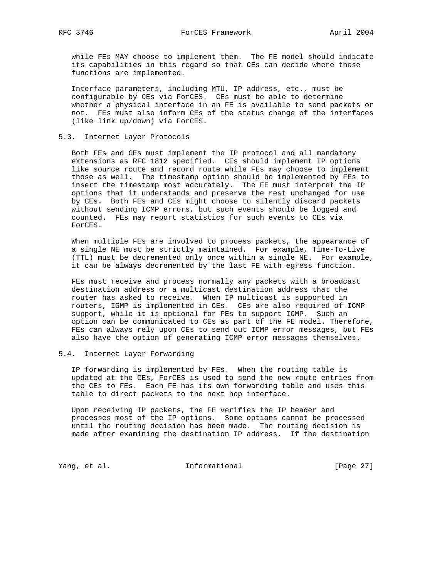while FEs MAY choose to implement them. The FE model should indicate its capabilities in this regard so that CEs can decide where these functions are implemented.

 Interface parameters, including MTU, IP address, etc., must be configurable by CEs via ForCES. CEs must be able to determine whether a physical interface in an FE is available to send packets or not. FEs must also inform CEs of the status change of the interfaces (like link up/down) via ForCES.

### 5.3. Internet Layer Protocols

 Both FEs and CEs must implement the IP protocol and all mandatory extensions as RFC 1812 specified. CEs should implement IP options like source route and record route while FEs may choose to implement those as well. The timestamp option should be implemented by FEs to insert the timestamp most accurately. The FE must interpret the IP options that it understands and preserve the rest unchanged for use by CEs. Both FEs and CEs might choose to silently discard packets without sending ICMP errors, but such events should be logged and counted. FEs may report statistics for such events to CEs via ForCES.

 When multiple FEs are involved to process packets, the appearance of a single NE must be strictly maintained. For example, Time-To-Live (TTL) must be decremented only once within a single NE. For example, it can be always decremented by the last FE with egress function.

 FEs must receive and process normally any packets with a broadcast destination address or a multicast destination address that the router has asked to receive. When IP multicast is supported in routers, IGMP is implemented in CEs. CEs are also required of ICMP support, while it is optional for FEs to support ICMP. Such an option can be communicated to CEs as part of the FE model. Therefore, FEs can always rely upon CEs to send out ICMP error messages, but FEs also have the option of generating ICMP error messages themselves.

### 5.4. Internet Layer Forwarding

 IP forwarding is implemented by FEs. When the routing table is updated at the CEs, ForCES is used to send the new route entries from the CEs to FEs. Each FE has its own forwarding table and uses this table to direct packets to the next hop interface.

 Upon receiving IP packets, the FE verifies the IP header and processes most of the IP options. Some options cannot be processed until the routing decision has been made. The routing decision is made after examining the destination IP address. If the destination

Yang, et al. 1nformational [Page 27]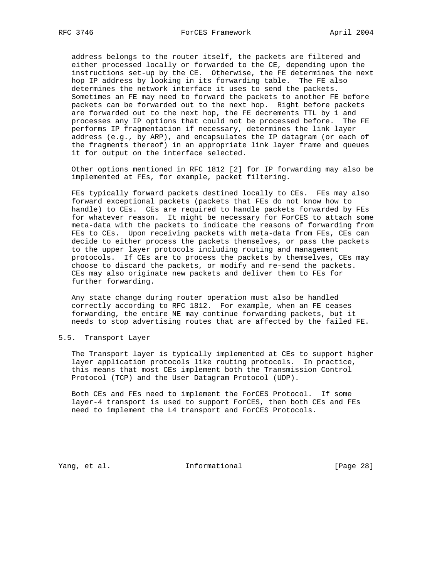address belongs to the router itself, the packets are filtered and either processed locally or forwarded to the CE, depending upon the instructions set-up by the CE. Otherwise, the FE determines the next hop IP address by looking in its forwarding table. The FE also determines the network interface it uses to send the packets. Sometimes an FE may need to forward the packets to another FE before packets can be forwarded out to the next hop. Right before packets are forwarded out to the next hop, the FE decrements TTL by 1 and processes any IP options that could not be processed before. The FE performs IP fragmentation if necessary, determines the link layer address (e.g., by ARP), and encapsulates the IP datagram (or each of the fragments thereof) in an appropriate link layer frame and queues it for output on the interface selected.

 Other options mentioned in RFC 1812 [2] for IP forwarding may also be implemented at FEs, for example, packet filtering.

 FEs typically forward packets destined locally to CEs. FEs may also forward exceptional packets (packets that FEs do not know how to handle) to CEs. CEs are required to handle packets forwarded by FEs for whatever reason. It might be necessary for ForCES to attach some meta-data with the packets to indicate the reasons of forwarding from FEs to CEs. Upon receiving packets with meta-data from FEs, CEs can decide to either process the packets themselves, or pass the packets to the upper layer protocols including routing and management protocols. If CEs are to process the packets by themselves, CEs may choose to discard the packets, or modify and re-send the packets. CEs may also originate new packets and deliver them to FEs for further forwarding.

 Any state change during router operation must also be handled correctly according to RFC 1812. For example, when an FE ceases forwarding, the entire NE may continue forwarding packets, but it needs to stop advertising routes that are affected by the failed FE.

### 5.5. Transport Layer

 The Transport layer is typically implemented at CEs to support higher layer application protocols like routing protocols. In practice, this means that most CEs implement both the Transmission Control Protocol (TCP) and the User Datagram Protocol (UDP).

 Both CEs and FEs need to implement the ForCES Protocol. If some layer-4 transport is used to support ForCES, then both CEs and FEs need to implement the L4 transport and ForCES Protocols.

Yang, et al. 10 1nformational 1999 [Page 28]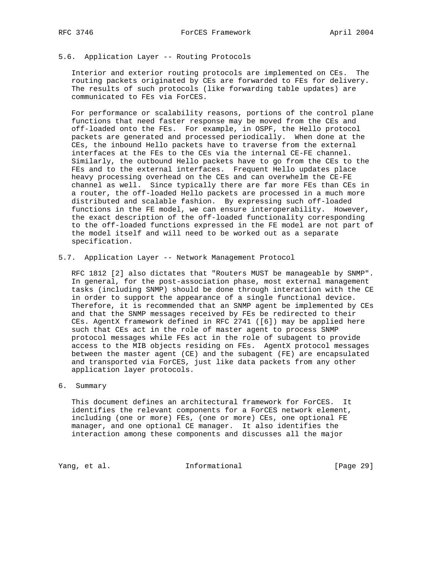### 5.6. Application Layer -- Routing Protocols

 Interior and exterior routing protocols are implemented on CEs. The routing packets originated by CEs are forwarded to FEs for delivery. The results of such protocols (like forwarding table updates) are communicated to FEs via ForCES.

 For performance or scalability reasons, portions of the control plane functions that need faster response may be moved from the CEs and off-loaded onto the FEs. For example, in OSPF, the Hello protocol packets are generated and processed periodically. When done at the CEs, the inbound Hello packets have to traverse from the external interfaces at the FEs to the CEs via the internal CE-FE channel. Similarly, the outbound Hello packets have to go from the CEs to the FEs and to the external interfaces. Frequent Hello updates place heavy processing overhead on the CEs and can overwhelm the CE-FE channel as well. Since typically there are far more FEs than CEs in a router, the off-loaded Hello packets are processed in a much more distributed and scalable fashion. By expressing such off-loaded functions in the FE model, we can ensure interoperability. However, the exact description of the off-loaded functionality corresponding to the off-loaded functions expressed in the FE model are not part of the model itself and will need to be worked out as a separate specification.

5.7. Application Layer -- Network Management Protocol

 RFC 1812 [2] also dictates that "Routers MUST be manageable by SNMP". In general, for the post-association phase, most external management tasks (including SNMP) should be done through interaction with the CE in order to support the appearance of a single functional device. Therefore, it is recommended that an SNMP agent be implemented by CEs and that the SNMP messages received by FEs be redirected to their CEs. AgentX framework defined in RFC 2741 ([6]) may be applied here such that CEs act in the role of master agent to process SNMP protocol messages while FEs act in the role of subagent to provide access to the MIB objects residing on FEs. AgentX protocol messages between the master agent (CE) and the subagent (FE) are encapsulated and transported via ForCES, just like data packets from any other application layer protocols.

### 6. Summary

 This document defines an architectural framework for ForCES. It identifies the relevant components for a ForCES network element, including (one or more) FEs, (one or more) CEs, one optional FE manager, and one optional CE manager. It also identifies the interaction among these components and discusses all the major

Yang, et al. 10 Informational 1999 [Page 29]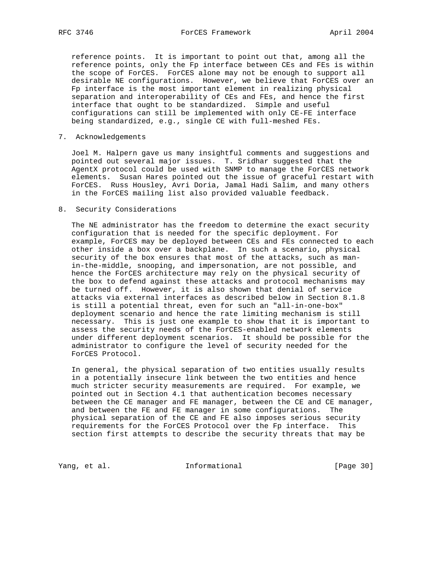reference points. It is important to point out that, among all the reference points, only the Fp interface between CEs and FEs is within the scope of ForCES. ForCES alone may not be enough to support all desirable NE configurations. However, we believe that ForCES over an Fp interface is the most important element in realizing physical separation and interoperability of CEs and FEs, and hence the first interface that ought to be standardized. Simple and useful configurations can still be implemented with only CE-FE interface being standardized, e.g., single CE with full-meshed FEs.

7. Acknowledgements

 Joel M. Halpern gave us many insightful comments and suggestions and pointed out several major issues. T. Sridhar suggested that the AgentX protocol could be used with SNMP to manage the ForCES network elements. Susan Hares pointed out the issue of graceful restart with ForCES. Russ Housley, Avri Doria, Jamal Hadi Salim, and many others in the ForCES mailing list also provided valuable feedback.

8. Security Considerations

 The NE administrator has the freedom to determine the exact security configuration that is needed for the specific deployment. For example, ForCES may be deployed between CEs and FEs connected to each other inside a box over a backplane. In such a scenario, physical security of the box ensures that most of the attacks, such as man in-the-middle, snooping, and impersonation, are not possible, and hence the ForCES architecture may rely on the physical security of the box to defend against these attacks and protocol mechanisms may be turned off. However, it is also shown that denial of service attacks via external interfaces as described below in Section 8.1.8 is still a potential threat, even for such an "all-in-one-box" deployment scenario and hence the rate limiting mechanism is still necessary. This is just one example to show that it is important to assess the security needs of the ForCES-enabled network elements under different deployment scenarios. It should be possible for the administrator to configure the level of security needed for the ForCES Protocol.

 In general, the physical separation of two entities usually results in a potentially insecure link between the two entities and hence much stricter security measurements are required. For example, we pointed out in Section 4.1 that authentication becomes necessary between the CE manager and FE manager, between the CE and CE manager, and between the FE and FE manager in some configurations. The physical separation of the CE and FE also imposes serious security requirements for the ForCES Protocol over the Fp interface. This section first attempts to describe the security threats that may be

Yang, et al. 100 Informational 100 [Page 30]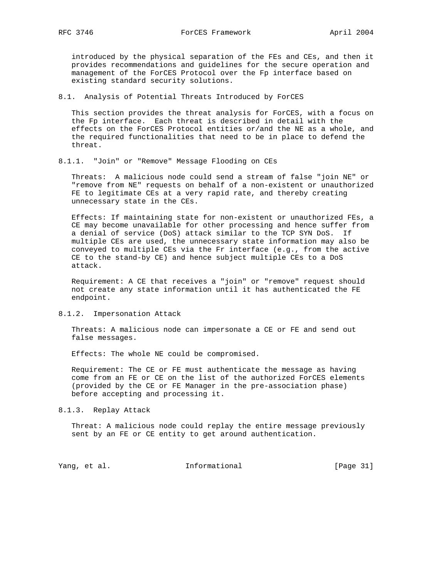introduced by the physical separation of the FEs and CEs, and then it provides recommendations and guidelines for the secure operation and management of the ForCES Protocol over the Fp interface based on existing standard security solutions.

8.1. Analysis of Potential Threats Introduced by ForCES

 This section provides the threat analysis for ForCES, with a focus on the Fp interface. Each threat is described in detail with the effects on the ForCES Protocol entities or/and the NE as a whole, and the required functionalities that need to be in place to defend the threat.

#### 8.1.1. "Join" or "Remove" Message Flooding on CEs

 Threats: A malicious node could send a stream of false "join NE" or "remove from NE" requests on behalf of a non-existent or unauthorized FE to legitimate CEs at a very rapid rate, and thereby creating unnecessary state in the CEs.

 Effects: If maintaining state for non-existent or unauthorized FEs, a CE may become unavailable for other processing and hence suffer from a denial of service (DoS) attack similar to the TCP SYN DoS. If multiple CEs are used, the unnecessary state information may also be conveyed to multiple CEs via the Fr interface (e.g., from the active CE to the stand-by CE) and hence subject multiple CEs to a DoS attack.

 Requirement: A CE that receives a "join" or "remove" request should not create any state information until it has authenticated the FE endpoint.

#### 8.1.2. Impersonation Attack

 Threats: A malicious node can impersonate a CE or FE and send out false messages.

Effects: The whole NE could be compromised.

 Requirement: The CE or FE must authenticate the message as having come from an FE or CE on the list of the authorized ForCES elements (provided by the CE or FE Manager in the pre-association phase) before accepting and processing it.

#### 8.1.3. Replay Attack

 Threat: A malicious node could replay the entire message previously sent by an FE or CE entity to get around authentication.

Yang, et al. 10 Informational 11 [Page 31]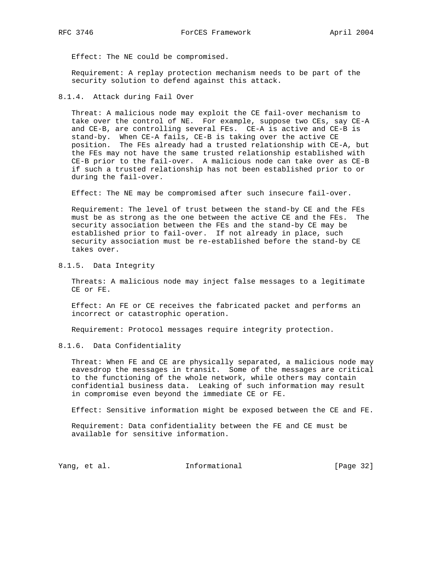Effect: The NE could be compromised.

 Requirement: A replay protection mechanism needs to be part of the security solution to defend against this attack.

### 8.1.4. Attack during Fail Over

 Threat: A malicious node may exploit the CE fail-over mechanism to take over the control of NE. For example, suppose two CEs, say CE-A and CE-B, are controlling several FEs. CE-A is active and CE-B is stand-by. When CE-A fails, CE-B is taking over the active CE position. The FEs already had a trusted relationship with CE-A, but the FEs may not have the same trusted relationship established with CE-B prior to the fail-over. A malicious node can take over as CE-B if such a trusted relationship has not been established prior to or during the fail-over.

Effect: The NE may be compromised after such insecure fail-over.

 Requirement: The level of trust between the stand-by CE and the FEs must be as strong as the one between the active CE and the FEs. The security association between the FEs and the stand-by CE may be established prior to fail-over. If not already in place, such security association must be re-established before the stand-by CE takes over.

8.1.5. Data Integrity

 Threats: A malicious node may inject false messages to a legitimate CE or FE.

 Effect: An FE or CE receives the fabricated packet and performs an incorrect or catastrophic operation.

Requirement: Protocol messages require integrity protection.

8.1.6. Data Confidentiality

 Threat: When FE and CE are physically separated, a malicious node may eavesdrop the messages in transit. Some of the messages are critical to the functioning of the whole network, while others may contain confidential business data. Leaking of such information may result in compromise even beyond the immediate CE or FE.

Effect: Sensitive information might be exposed between the CE and FE.

 Requirement: Data confidentiality between the FE and CE must be available for sensitive information.

Yang, et al. 10. Informational 1. [Page 32]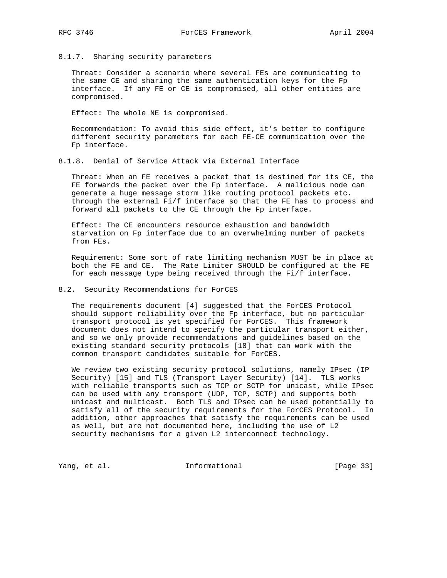8.1.7. Sharing security parameters

 Threat: Consider a scenario where several FEs are communicating to the same CE and sharing the same authentication keys for the Fp interface. If any FE or CE is compromised, all other entities are compromised.

Effect: The whole NE is compromised.

 Recommendation: To avoid this side effect, it's better to configure different security parameters for each FE-CE communication over the Fp interface.

8.1.8. Denial of Service Attack via External Interface

 Threat: When an FE receives a packet that is destined for its CE, the FE forwards the packet over the Fp interface. A malicious node can generate a huge message storm like routing protocol packets etc. through the external Fi/f interface so that the FE has to process and forward all packets to the CE through the Fp interface.

 Effect: The CE encounters resource exhaustion and bandwidth starvation on Fp interface due to an overwhelming number of packets from FEs.

 Requirement: Some sort of rate limiting mechanism MUST be in place at both the FE and CE. The Rate Limiter SHOULD be configured at the FE for each message type being received through the Fi/f interface.

#### 8.2. Security Recommendations for ForCES

 The requirements document [4] suggested that the ForCES Protocol should support reliability over the Fp interface, but no particular transport protocol is yet specified for ForCES. This framework document does not intend to specify the particular transport either, and so we only provide recommendations and guidelines based on the existing standard security protocols [18] that can work with the common transport candidates suitable for ForCES.

 We review two existing security protocol solutions, namely IPsec (IP Security) [15] and TLS (Transport Layer Security) [14]. TLS works with reliable transports such as TCP or SCTP for unicast, while IPsec can be used with any transport (UDP, TCP, SCTP) and supports both unicast and multicast. Both TLS and IPsec can be used potentially to satisfy all of the security requirements for the ForCES Protocol. In addition, other approaches that satisfy the requirements can be used as well, but are not documented here, including the use of L2 security mechanisms for a given L2 interconnect technology.

Yang, et al. 10. Informational 1. [Page 33]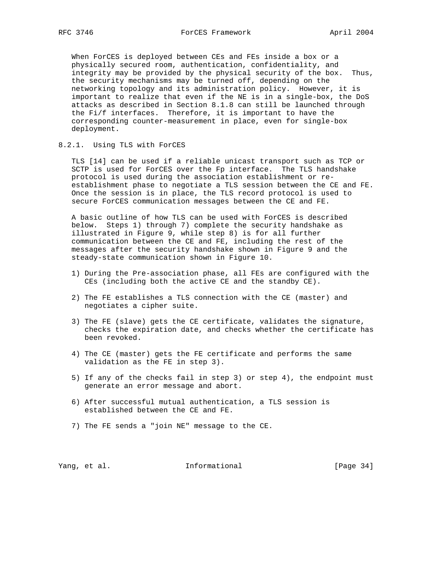When ForCES is deployed between CEs and FEs inside a box or a physically secured room, authentication, confidentiality, and integrity may be provided by the physical security of the box. Thus, the security mechanisms may be turned off, depending on the networking topology and its administration policy. However, it is important to realize that even if the NE is in a single-box, the DoS attacks as described in Section 8.1.8 can still be launched through the Fi/f interfaces. Therefore, it is important to have the corresponding counter-measurement in place, even for single-box deployment.

### 8.2.1. Using TLS with ForCES

 TLS [14] can be used if a reliable unicast transport such as TCP or SCTP is used for ForCES over the Fp interface. The TLS handshake protocol is used during the association establishment or re establishment phase to negotiate a TLS session between the CE and FE. Once the session is in place, the TLS record protocol is used to secure ForCES communication messages between the CE and FE.

 A basic outline of how TLS can be used with ForCES is described below. Steps 1) through 7) complete the security handshake as illustrated in Figure 9, while step 8) is for all further communication between the CE and FE, including the rest of the messages after the security handshake shown in Figure 9 and the steady-state communication shown in Figure 10.

- 1) During the Pre-association phase, all FEs are configured with the CEs (including both the active CE and the standby CE).
- 2) The FE establishes a TLS connection with the CE (master) and negotiates a cipher suite.
- 3) The FE (slave) gets the CE certificate, validates the signature, checks the expiration date, and checks whether the certificate has been revoked.
- 4) The CE (master) gets the FE certificate and performs the same validation as the FE in step 3).
- 5) If any of the checks fail in step 3) or step 4), the endpoint must generate an error message and abort.
- 6) After successful mutual authentication, a TLS session is established between the CE and FE.
- 7) The FE sends a "join NE" message to the CE.

Yang, et al. 10. Informational 1. [Page 34]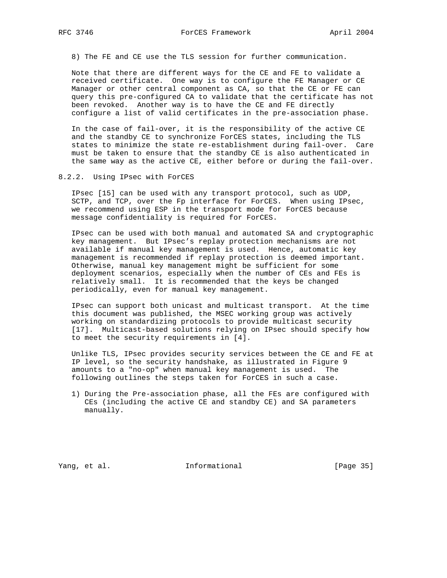8) The FE and CE use the TLS session for further communication.

 Note that there are different ways for the CE and FE to validate a received certificate. One way is to configure the FE Manager or CE Manager or other central component as CA, so that the CE or FE can query this pre-configured CA to validate that the certificate has not been revoked. Another way is to have the CE and FE directly configure a list of valid certificates in the pre-association phase.

 In the case of fail-over, it is the responsibility of the active CE and the standby CE to synchronize ForCES states, including the TLS states to minimize the state re-establishment during fail-over. Care must be taken to ensure that the standby CE is also authenticated in the same way as the active CE, either before or during the fail-over.

8.2.2. Using IPsec with ForCES

 IPsec [15] can be used with any transport protocol, such as UDP, SCTP, and TCP, over the Fp interface for ForCES. When using IPsec, we recommend using ESP in the transport mode for ForCES because message confidentiality is required for ForCES.

 IPsec can be used with both manual and automated SA and cryptographic key management. But IPsec's replay protection mechanisms are not available if manual key management is used. Hence, automatic key management is recommended if replay protection is deemed important. Otherwise, manual key management might be sufficient for some deployment scenarios, especially when the number of CEs and FEs is relatively small. It is recommended that the keys be changed periodically, even for manual key management.

 IPsec can support both unicast and multicast transport. At the time this document was published, the MSEC working group was actively working on standardizing protocols to provide multicast security [17]. Multicast-based solutions relying on IPsec should specify how to meet the security requirements in [4].

 Unlike TLS, IPsec provides security services between the CE and FE at IP level, so the security handshake, as illustrated in Figure 9 amounts to a "no-op" when manual key management is used. The following outlines the steps taken for ForCES in such a case.

 1) During the Pre-association phase, all the FEs are configured with CEs (including the active CE and standby CE) and SA parameters manually.

Yang, et al. 10. Informational 1. [Page 35]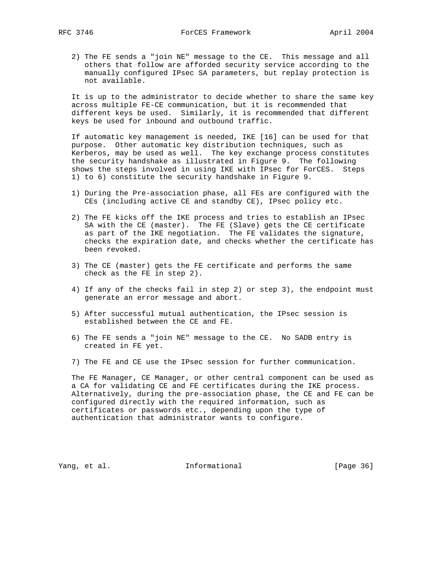2) The FE sends a "join NE" message to the CE. This message and all others that follow are afforded security service according to the manually configured IPsec SA parameters, but replay protection is not available.

 It is up to the administrator to decide whether to share the same key across multiple FE-CE communication, but it is recommended that different keys be used. Similarly, it is recommended that different keys be used for inbound and outbound traffic.

 If automatic key management is needed, IKE [16] can be used for that purpose. Other automatic key distribution techniques, such as Kerberos, may be used as well. The key exchange process constitutes the security handshake as illustrated in Figure 9. The following shows the steps involved in using IKE with IPsec for ForCES. Steps 1) to 6) constitute the security handshake in Figure 9.

- 1) During the Pre-association phase, all FEs are configured with the CEs (including active CE and standby CE), IPsec policy etc.
- 2) The FE kicks off the IKE process and tries to establish an IPsec SA with the CE (master). The FE (Slave) gets the CE certificate as part of the IKE negotiation. The FE validates the signature, checks the expiration date, and checks whether the certificate has been revoked.
- 3) The CE (master) gets the FE certificate and performs the same check as the FE in step 2).
- 4) If any of the checks fail in step 2) or step 3), the endpoint must generate an error message and abort.
- 5) After successful mutual authentication, the IPsec session is established between the CE and FE.
- 6) The FE sends a "join NE" message to the CE. No SADB entry is created in FE yet.
- 7) The FE and CE use the IPsec session for further communication.

 The FE Manager, CE Manager, or other central component can be used as a CA for validating CE and FE certificates during the IKE process. Alternatively, during the pre-association phase, the CE and FE can be configured directly with the required information, such as certificates or passwords etc., depending upon the type of authentication that administrator wants to configure.

Yang, et al. 10 Informational 10 [Page 36]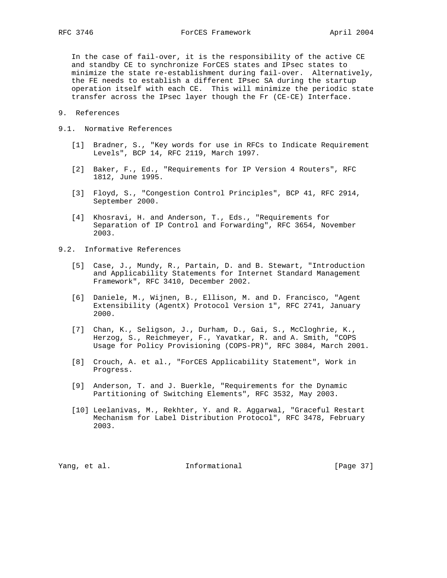In the case of fail-over, it is the responsibility of the active CE and standby CE to synchronize ForCES states and IPsec states to minimize the state re-establishment during fail-over. Alternatively, the FE needs to establish a different IPsec SA during the startup operation itself with each CE. This will minimize the periodic state transfer across the IPsec layer though the Fr (CE-CE) Interface.

- 9. References
- 9.1. Normative References
	- [1] Bradner, S., "Key words for use in RFCs to Indicate Requirement Levels", BCP 14, RFC 2119, March 1997.
	- [2] Baker, F., Ed., "Requirements for IP Version 4 Routers", RFC 1812, June 1995.
	- [3] Floyd, S., "Congestion Control Principles", BCP 41, RFC 2914, September 2000.
	- [4] Khosravi, H. and Anderson, T., Eds., "Requirements for Separation of IP Control and Forwarding", RFC 3654, November 2003.
- 9.2. Informative References
	- [5] Case, J., Mundy, R., Partain, D. and B. Stewart, "Introduction and Applicability Statements for Internet Standard Management Framework", RFC 3410, December 2002.
	- [6] Daniele, M., Wijnen, B., Ellison, M. and D. Francisco, "Agent Extensibility (AgentX) Protocol Version 1", RFC 2741, January 2000.
	- [7] Chan, K., Seligson, J., Durham, D., Gai, S., McCloghrie, K., Herzog, S., Reichmeyer, F., Yavatkar, R. and A. Smith, "COPS Usage for Policy Provisioning (COPS-PR)", RFC 3084, March 2001.
	- [8] Crouch, A. et al., "ForCES Applicability Statement", Work in Progress.
	- [9] Anderson, T. and J. Buerkle, "Requirements for the Dynamic Partitioning of Switching Elements", RFC 3532, May 2003.
	- [10] Leelanivas, M., Rekhter, Y. and R. Aggarwal, "Graceful Restart Mechanism for Label Distribution Protocol", RFC 3478, February 2003.

Yang, et al. 100 Informational 100 [Page 37]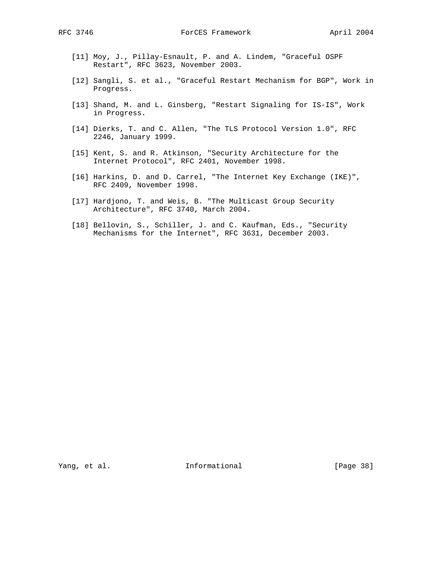- [11] Moy, J., Pillay-Esnault, P. and A. Lindem, "Graceful OSPF Restart", RFC 3623, November 2003.
- [12] Sangli, S. et al., "Graceful Restart Mechanism for BGP", Work in Progress.
- [13] Shand, M. and L. Ginsberg, "Restart Signaling for IS-IS", Work in Progress.
- [14] Dierks, T. and C. Allen, "The TLS Protocol Version 1.0", RFC 2246, January 1999.
- [15] Kent, S. and R. Atkinson, "Security Architecture for the Internet Protocol", RFC 2401, November 1998.
- [16] Harkins, D. and D. Carrel, "The Internet Key Exchange (IKE)", RFC 2409, November 1998.
- [17] Hardjono, T. and Weis, B. "The Multicast Group Security Architecture", RFC 3740, March 2004.
- [18] Bellovin, S., Schiller, J. and C. Kaufman, Eds., "Security Mechanisms for the Internet", RFC 3631, December 2003.

Yang, et al. 10. Informational 1. [Page 38]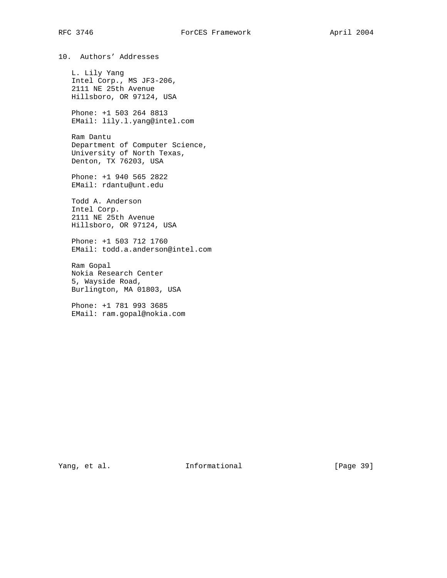10. Authors' Addresses L. Lily Yang Intel Corp., MS JF3-206, 2111 NE 25th Avenue Hillsboro, OR 97124, USA Phone: +1 503 264 8813 EMail: lily.l.yang@intel.com Ram Dantu Department of Computer Science, University of North Texas, Denton, TX 76203, USA Phone: +1 940 565 2822 EMail: rdantu@unt.edu

 Todd A. Anderson Intel Corp. 2111 NE 25th Avenue Hillsboro, OR 97124, USA

 Phone: +1 503 712 1760 EMail: todd.a.anderson@intel.com

 Ram Gopal Nokia Research Center 5, Wayside Road, Burlington, MA 01803, USA

 Phone: +1 781 993 3685 EMail: ram.gopal@nokia.com

Yang, et al. 10. Informational 1. [Page 39]